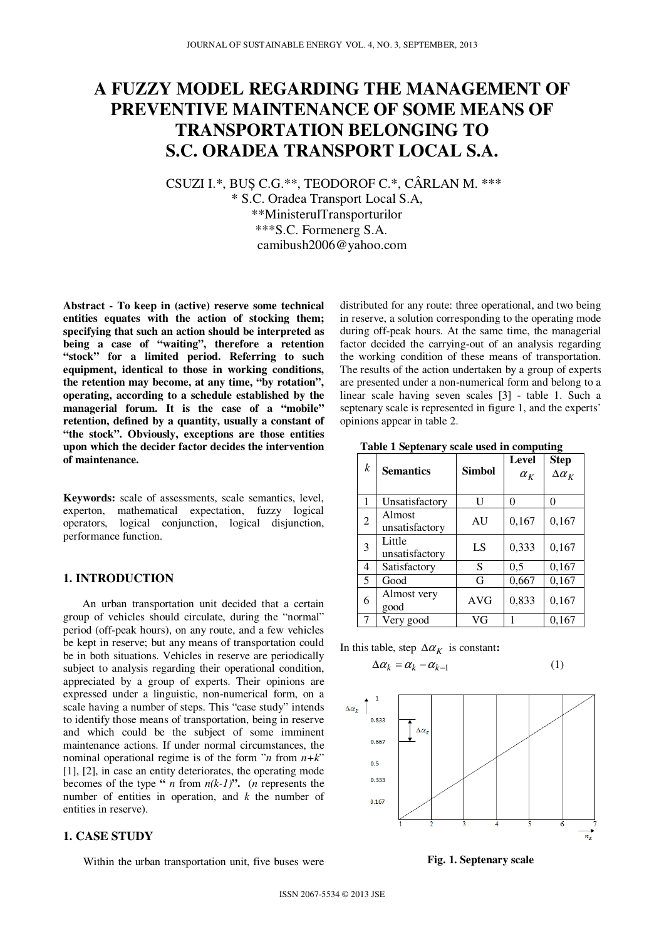# **A FUZZY MODEL REGARDING THE MANAGEMENT OF PREVENTIVE MAINTENANCE OF SOME MEANS OF TRANSPORTATION BELONGING TO S.C. ORADEA TRANSPORT LOCAL S.A.**

CSUZI I.\*, BUȘ C.G.\*\*, TEODOROF C.\*, CÂRLAN M. \*\*\*

\* S.C. Oradea Transport Local S.A, \*\*MinisterulTransporturilor \*\*\*S.C. Formenerg S.A. camibush2006@yahoo.com

**Abstract - To keep in (active) reserve some technical entities equates with the action of stocking them; specifying that such an action should be interpreted as being a case of "waiting", therefore a retention "stock" for a limited period. Referring to such equipment, identical to those in working conditions, the retention may become, at any time, "by rotation", operating, according to a schedule established by the managerial forum. It is the case of a "mobile" retention, defined by a quantity, usually a constant of "the stock". Obviously, exceptions are those entities upon which the decider factor decides the intervention of maintenance.**

**Keywords:** scale of assessments, scale semantics, level, experton, mathematical expectation, fuzzy logical operators, logical conjunction, logical disjunction, performance function.

## **1. INTRODUCTION**

 An urban transportation unit decided that a certain group of vehicles should circulate, during the "normal" period (off-peak hours), on any route, and a few vehicles be kept in reserve; but any means of transportation could be in both situations. Vehicles in reserve are periodically subject to analysis regarding their operational condition, appreciated by a group of experts. Their opinions are expressed under a linguistic, non-numerical form, on a scale having a number of steps. This "case study" intends to identify those means of transportation, being in reserve and which could be the subject of some imminent maintenance actions. If under normal circumstances, the nominal operational regime is of the form "*n* from *n+k*" [1], [2], in case an entity deteriorates, the operating mode becomes of the type "*n* from  $n(k-1)$ ". (*n* represents the number of entities in operation, and *k* the number of entities in reserve).

## **1. CASE STUDY**

Within the urban transportation unit, five buses were

distributed for any route: three operational, and two being in reserve, a solution corresponding to the operating mode during off-peak hours. At the same time, the managerial factor decided the carrying-out of an analysis regarding the working condition of these means of transportation. The results of the action undertaken by a group of experts are presented under a non-numerical form and belong to a linear scale having seven scales [3] - table 1. Such a septenary scale is represented in figure 1, and the experts' opinions appear in table 2.

**Table 1 Septenary scale used in computing**

| k | <b>Semantics</b>         | <b>Simbol</b> | <b>Level</b><br>$\alpha_{K}$ | <b>Step</b><br>$\Delta \alpha_K$ |
|---|--------------------------|---------------|------------------------------|----------------------------------|
|   | Unsatisfactory           | H             | 0                            | 0                                |
| 2 | Almost<br>unsatisfactory | AU            | 0,167                        | 0,167                            |
| 3 | Little<br>unsatisfactory | LS            | 0,333                        | 0,167                            |
| 4 | Satisfactory             | S             | 0,5                          | 0,167                            |
| 5 | Good                     | G             | 0,667                        | 0,167                            |
| 6 | Almost very<br>good      | <b>AVG</b>    | 0,833                        | 0,167                            |
|   | Very good                | VG            |                              | 0,167                            |

In this table, step  $\Delta \alpha_K$  is constant:

 $\Delta \alpha_k = \alpha_k - \alpha_{k-1}$ 

$$
(1)
$$



**Fig. 1. Septenary scale**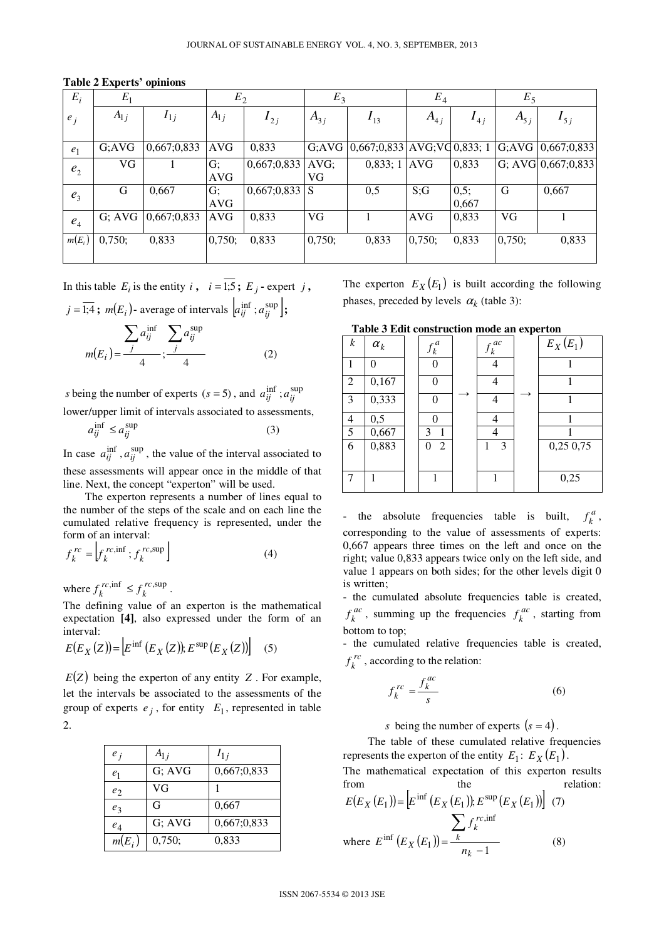| $E_i$          | $E_1$     |             | $E_2$               |                 | $E_3$         |                                       | $E_4$      |               | $E_5$     |                       |
|----------------|-----------|-------------|---------------------|-----------------|---------------|---------------------------------------|------------|---------------|-----------|-----------------------|
| $e_i$          | $A_{1j}$  | $I_{1j}$    | $A_{1j}$            | $I_{2j}$        | $A_{3i}$      | $I_{13}$                              | $A_{4,i}$  | $I_{4i}$      | $A_{5,i}$ | $I_{5j}$              |
| $e_1$          | G:AVG     | 0,667;0,833 | <b>AVG</b>          | 0,833           |               | G;AVG $(0,667;0,833)$ AVG;VG 0,833; 1 |            |               |           | $ G;AVG $ 0,667;0,833 |
| e <sub>2</sub> | <b>VG</b> |             | G:<br><b>AVG</b>    | 0,667;0,833     | $AVG$ ;<br>VG | 0,833;1                               | <b>AVG</b> | 0,833         |           | G; AVG $0,667;0,833$  |
| $e_3$          | G         | 0,667       | $G$ ;<br><b>AVG</b> | $0,667;0,833$ S |               | 0,5                                   | S;G        | 0,5;<br>0,667 | G         | 0,667                 |
| e <sub>4</sub> | G; AVG    | 0,667;0,833 | <b>AVG</b>          | 0,833           | VG            |                                       | <b>AVG</b> | 0,833         | VG        |                       |
| $m(E_i)$       | 0,750;    | 0,833       | 0,750;              | 0,833           | 0,750;        | 0,833                                 | 0,750;     | 0,833         | 0,750;    | 0,833                 |

**Table 2 Experts' opinions** 

In this table  $E_i$  is the entity  $i$ ,  $i = 1.5$ ;  $E_j$  - expert  $j$ ,  $j = \overline{1,4}$ ;  $m(E_i)$ - average of intervals  $\left[a_{ij}^{\text{inf}}; a_{ij}^{\text{sup}}\right]$ ;

$$
m(E_i) = \frac{\sum_{j} a_{ij}^{\text{inf}}}{4}; \frac{\sum_{j} a_{ij}^{\text{sup}}}{4}
$$
 (2)

*s* being the number of experts ( $s = 5$ ), and  $a_{ij}^{\text{inf}}$ ;  $a_{ij}^{\text{sup}}$ lower/upper limit of intervals associated to assessments,

$$
a_{ij}^{\text{inf}} \le a_{ij}^{\text{sup}} \tag{3}
$$

In case  $a_{ij}^{\text{inf}}$ ,  $a_{ij}^{\text{sup}}$ , the value of the interval associated to these assessments will appear once in the middle of that line. Next, the concept "experton" will be used.

 The experton represents a number of lines equal to the number of the steps of the scale and on each line the cumulated relative frequency is represented, under the form of an interval:

$$
f_k^{rc} = \left[ f_k^{rc, \text{inf}}; f_k^{rc, \text{sup}} \right]
$$
 (4)

where  $f_k^{rc,\inf} \leq f_k^{rc,\sup}$ *rc*  $f_k^{rc,\text{inif}} \leq f_k^{rc,\text{sup}}$ .

The defining value of an experton is the mathematical expectation **[4]**, also expressed under the form of an interval:

$$
E(E_X(Z)) = \left[ E^{\inf} (E_X(Z)) ; E^{\sup} (E_X(Z)) \right] \quad (5)
$$

 $E(Z)$  being the experton of any entity *Z*. For example, let the intervals be associated to the assessments of the group of experts  $e_j$ , for entity  $E_1$ , represented in table 2.

| $e_i$          | $A_{1,i}$ | $I_{1i}$    |
|----------------|-----------|-------------|
| e <sub>1</sub> | G; AVG    | 0,667;0,833 |
| e <sub>2</sub> | VG        |             |
| $e_3$          | G         | 0,667       |
| $e_4$          | G; AVG    | 0,667;0,833 |
| $m(E_i)$       | 0,750;    | 0,833       |

The experton  $E_X(E_1)$  is built according the following phases, preceded by levels  $\alpha_k$  (table 3):

 **Table 3 Edit construction mode an experton** 

| $\boldsymbol{k}$ | $\alpha_k$ | $f_k^a$             | $f_k^{ac}$ | $E_X(E_1)$ |
|------------------|------------|---------------------|------------|------------|
|                  | 0          | 0                   |            |            |
| 2                | 0,167      | O                   |            |            |
| 3                | 0,333      | 0                   | 4          |            |
| $\overline{4}$   | 0,5        |                     |            |            |
| 5                | 0,667      | $\overline{1}$<br>3 |            |            |
| 6                | 0,883      | $\overline{2}$<br>0 | 3          | 0,25 0,75  |
|                  |            |                     |            |            |
|                  |            |                     |            | 0,25       |

- the absolute frequencies table is built,  $f_k^a$ , corresponding to the value of assessments of experts: 0,667 appears three times on the left and once on the right; value 0,833 appears twice only on the left side, and value 1 appears on both sides; for the other levels digit 0 is written;

- the cumulated absolute frequencies table is created, *ac*  $f_k^{ac}$ , summing up the frequencies  $f_k^{ac}$ , starting from bottom to top;

- the cumulated relative frequencies table is created, *rc*  $f_k^{rc}$ , according to the relation:

$$
f_k^{rc} = \frac{f_k^{ac}}{s} \tag{6}
$$

*s* being the number of experts  $(s = 4)$ .

 The table of these cumulated relative frequencies represents the experton of the entity  $E_1$ :  $E_X(E_1)$ .

The mathematical expectation of this experton results from the relation:

$$
E(E_X(E_1)) = \left[ E^{\text{inf}} \left( E_X(E_1) \right), E^{\text{sup}} \left( E_X(E_1) \right) \right] \tag{7}
$$
  
where 
$$
E^{\text{inf}} \left( E_X(E_1) \right) = \frac{\sum_{k} f_k^{\text{rc,inf}}}{n_k - 1} \tag{8}
$$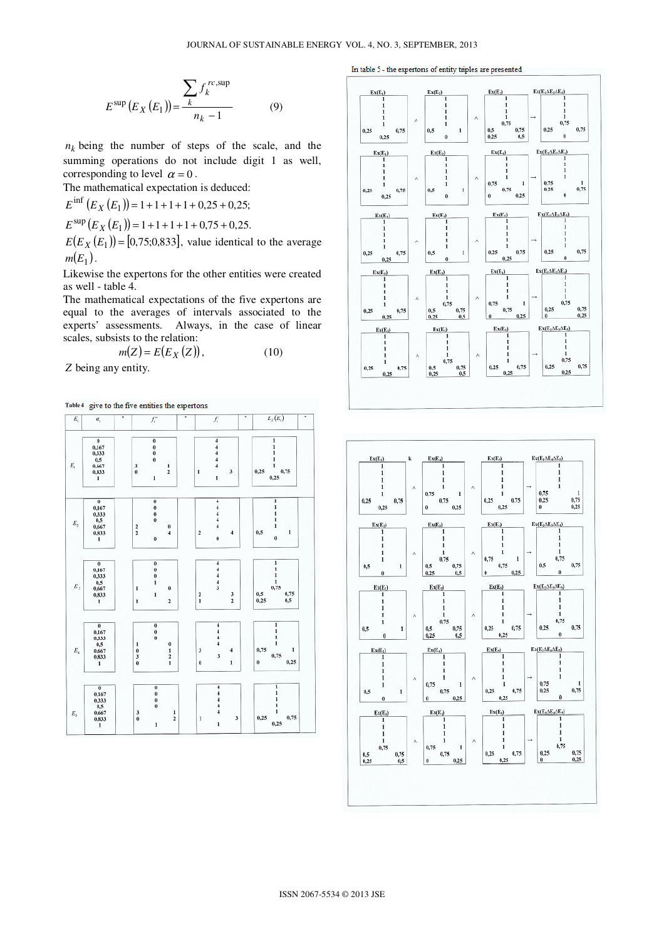$$
E^{\text{sup}}(E_X(E_1)) = \frac{\sum_{k} f_k^{rc, \text{sup}}}{n_k - 1}
$$
 (9)

 $n_k$  being the number of steps of the scale, and the summing operations do not include digit 1 as well, corresponding to level  $\alpha = 0$ .

The mathematical expectation is deduced:

 $E^{\text{inf}}(E_X(E_1)) = 1 + 1 + 1 + 1 + 0.25 + 0.25;$  $E^{\text{sup}}(E_X(E_1)) = 1 + 1 + 1 + 1 + 0.75 + 0.25.$  $E(E_X(E_1)) = [0, 75; 0, 833]$ , value identical to the average  $m(E_1)$ .

Likewise the expertons for the other entities were created as well - table 4.

The mathematical expectations of the five expertons are equal to the averages of intervals associated to the experts' assessments. Always, in the case of linear scales, subsists to the relation:

$$
m(Z) = E(E_X(Z)), \qquad (10)
$$

*Z* being any entity.

Table 4 give to the five entities the expertons



In table 5 - the expertons of entity triples are presented



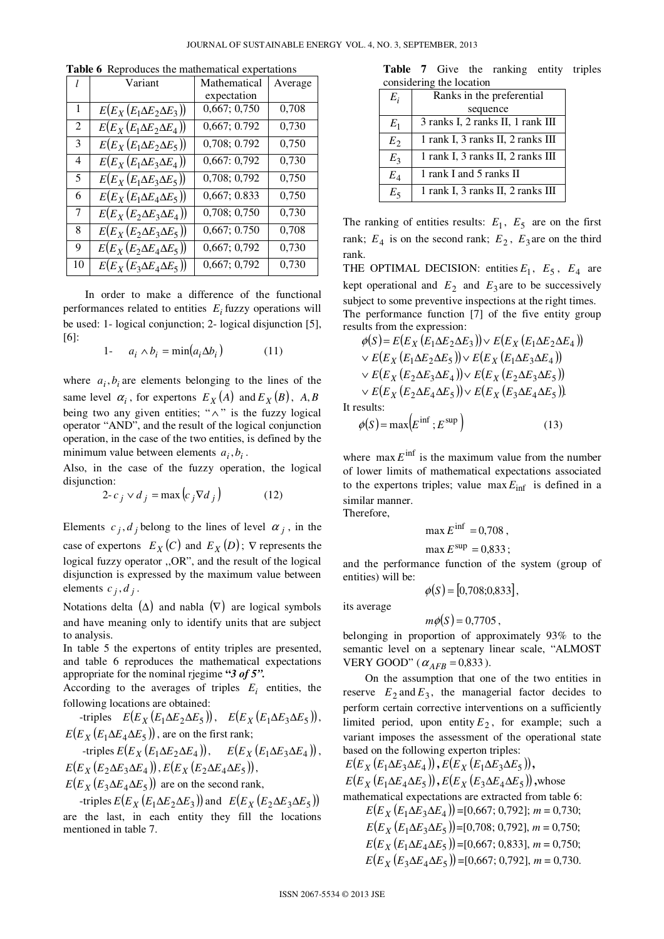| l                           | Variant                             | Mathematical | Average |
|-----------------------------|-------------------------------------|--------------|---------|
|                             |                                     | expectation  |         |
| 1                           | $E(E_X(E_1\Delta E_2\Delta E_3))$   | 0,667; 0,750 | 0,708   |
| $\mathcal{D}_{\mathcal{L}}$ | $E(E_X(E_1 \Delta E_2 \Delta E_4))$ | 0,667; 0.792 | 0,730   |
| 3                           | $E(E_X(E_1\Delta E_2\Delta E_5))$   | 0,708; 0.792 | 0,750   |
| 4                           | $E(E_X(E_1\Delta E_3\Delta E_4))$   | 0,667:0,792  | 0,730   |
| 5                           | $E(E_X(E_1\Delta E_3\Delta E_5))$   | 0,708; 0,792 | 0,750   |
| 6                           | $E(E_X(E_1\Delta E_4\Delta E_5))$   | 0,667; 0.833 | 0,750   |
| 7                           | $E(E_X(E_2\Delta E_3\Delta E_4))$   | 0,708; 0,750 | 0,730   |
| 8                           | $E(E_X(E_2\Delta E_3\Delta E_5))$   | 0,667; 0.750 | 0,708   |
| 9                           | $E(E_X(E_2 \Delta E_4 \Delta E_5))$ | 0,667; 0,792 | 0,730   |
| 10                          | $E(E_X(E_3 \Delta E_4 \Delta E_5))$ | 0,667; 0,792 | 0,730   |

**Table 6** Reproduces the mathematical expertations

 In order to make a difference of the functional performances related to entities *E<sup>i</sup>* fuzzy operations will be used: 1- logical conjunction; 2- logical disjunction [5], [6]:

$$
1 - a_i \wedge b_i = \min(a_i \Delta b_i) \tag{11}
$$

where  $a_i$ ,  $b_i$  are elements belonging to the lines of the same level  $\alpha_i$ , for expertons  $E_X(A)$  and  $E_X(B)$ ,  $A, B$ being two any given entities; " $\wedge$ " is the fuzzy logical operator "AND", and the result of the logical conjunction operation, in the case of the two entities, is defined by the minimum value between elements  $a_i$ ,  $b_i$ .

Also, in the case of the fuzzy operation, the logical disjunction:

$$
2 - c_j \vee d_j = \max\left(c_j \nabla d_j\right) \tag{12}
$$

Elements  $c_j$ ,  $d_j$  belong to the lines of level  $\alpha_j$ , in the case of expertons  $E_X(C)$  and  $E_X(D)$ ;  $\nabla$  represents the logical fuzzy operator ,,OR", and the result of the logical disjunction is expressed by the maximum value between elements  $c_j$ ,  $d_j$ .

Notations delta  $(\Delta)$  and nabla  $(\nabla)$  are logical symbols and have meaning only to identify units that are subject to analysis.

In table 5 the expertons of entity triples are presented, and table 6 reproduces the mathematical expectations appropriate for the nominal rjegime **"***3 of 5".*

According to the averages of triples  $E_i$  entities, the following locations are obtained:

 $E(E_X(E_1 \Delta E_2 \Delta E_5))$ ,  $E(E_X(E_1 \Delta E_3 \Delta E_5))$ ,  $E(E_X(E_1 \Delta E_4 \Delta E_5))$ , are on the first rank;  $E(E_X(E_1 \Delta E_2 \Delta E_4)),$   $E(E_X(E_1 \Delta E_3 \Delta E_4)),$ 

 $E(E_X(E_2 \Delta E_3 \Delta E_4))$ ,  $E(E_X(E_2 \Delta E_4 \Delta E_5))$ ,  $E(E_X(E_3 \Delta E_4 \Delta E_5))$  are on the second rank,

 $E(E_X(E_1 \Delta E_2 \Delta E_3))$  and  $E(E_X(E_2 \Delta E_3 \Delta E_5))$ are the last, in each entity they fill the locations mentioned in table 7.

Table 7 Give the ranking entity triples considering the location

| Ε,    | Ranks in the preferential         |  |  |  |
|-------|-----------------------------------|--|--|--|
|       | sequence                          |  |  |  |
| $E_1$ | 3 ranks I, 2 ranks II, 1 rank III |  |  |  |
| $E_2$ | 1 rank I, 3 ranks II, 2 ranks III |  |  |  |
| $E_3$ | 1 rank I, 3 ranks II, 2 ranks III |  |  |  |
| $E_4$ | 1 rank I and 5 ranks II           |  |  |  |
| Eς    | 1 rank I, 3 ranks II, 2 ranks III |  |  |  |

The ranking of entities results:  $E_1$ ,  $E_5$  are on the first rank;  $E_4$  is on the second rank;  $E_2$ ,  $E_3$  are on the third rank.

THE OPTIMAL DECISION: entities  $E_1$ ,  $E_5$ ,  $E_4$  are kept operational and  $E_2$  and  $E_3$  are to be successively subject to some preventive inspections at the right times. The performance function [7] of the five entity group results from the expression:

$$
\phi(S) = E(E_X (E_1 \Delta E_2 \Delta E_3)) \vee E(E_X (E_1 \Delta E_2 \Delta E_4))
$$
  
 
$$
\vee E(E_X (E_1 \Delta E_2 \Delta E_5)) \vee E(E_X (E_1 \Delta E_3 \Delta E_4))
$$
  
 
$$
\vee E(E_X (E_2 \Delta E_3 \Delta E_4)) \vee E(E_X (E_2 \Delta E_3 \Delta E_5))
$$
  
 
$$
\vee E(E_X (E_2 \Delta E_4 \Delta E_5)) \vee E(E_X (E_3 \Delta E_4 \Delta E_5)).
$$
s  
sults:

It re

$$
\phi(S) = \max(E^{\inf}; E^{\sup})
$$
\n(13)

where  $\max E^{\text{inf}}$  is the maximum value from the number of lower limits of mathematical expectations associated to the expertons triples; value  $\max E_{\text{inf}}$  is defined in a similar manner.

Therefore,

$$
\max E^{\inf} = 0,708
$$

$$
\max E^{\text{sup}} = 0.833;
$$

and the performance function of the system (group of entities) will be:

$$
\phi(S) = [0,708; 0,833],
$$

 $m\phi(S) = 0.7705$ ,

its average

belonging in proportion of approximately 93% to the semantic level on a septenary linear scale, "ALMOST VERY GOOD" ( $\alpha_{AFB} = 0,833$ ).

 On the assumption that one of the two entities in reserve  $E_2$  and  $E_3$ , the managerial factor decides to perform certain corrective interventions on a sufficiently limited period, upon entity  $E_2$ , for example; such a variant imposes the assessment of the operational state based on the following experton triples:

 $E(E_X(E_1\Delta E_3\Delta E_4))$ ,  $E(E_X(E_1\Delta E_3\Delta E_5))$ ,  $E(E_X(E_1 \Delta E_4 \Delta E_5))$ ,  $E(E_X(E_3 \Delta E_4 \Delta E_5))$ , whose mathematical expectations are extracted from table 6:  $E(E_X(E_1 \Delta E_3 \Delta E_4)) = [0,667; 0,792]; m = 0,730;$  $E(E_X(E_1\Delta E_3\Delta E_5))$  = [0,708; 0,792], *m* = 0,750;  $F(F_x (F_\cdot \Lambda F_\cdot \Lambda F_\cdot)) = [0, 667, 0, 833], m = 0, 750;$ 

$$
E(E_X(E_3 \Delta E_4 \Delta E_5)) = [0,667; 0,792], m = 0,730.
$$